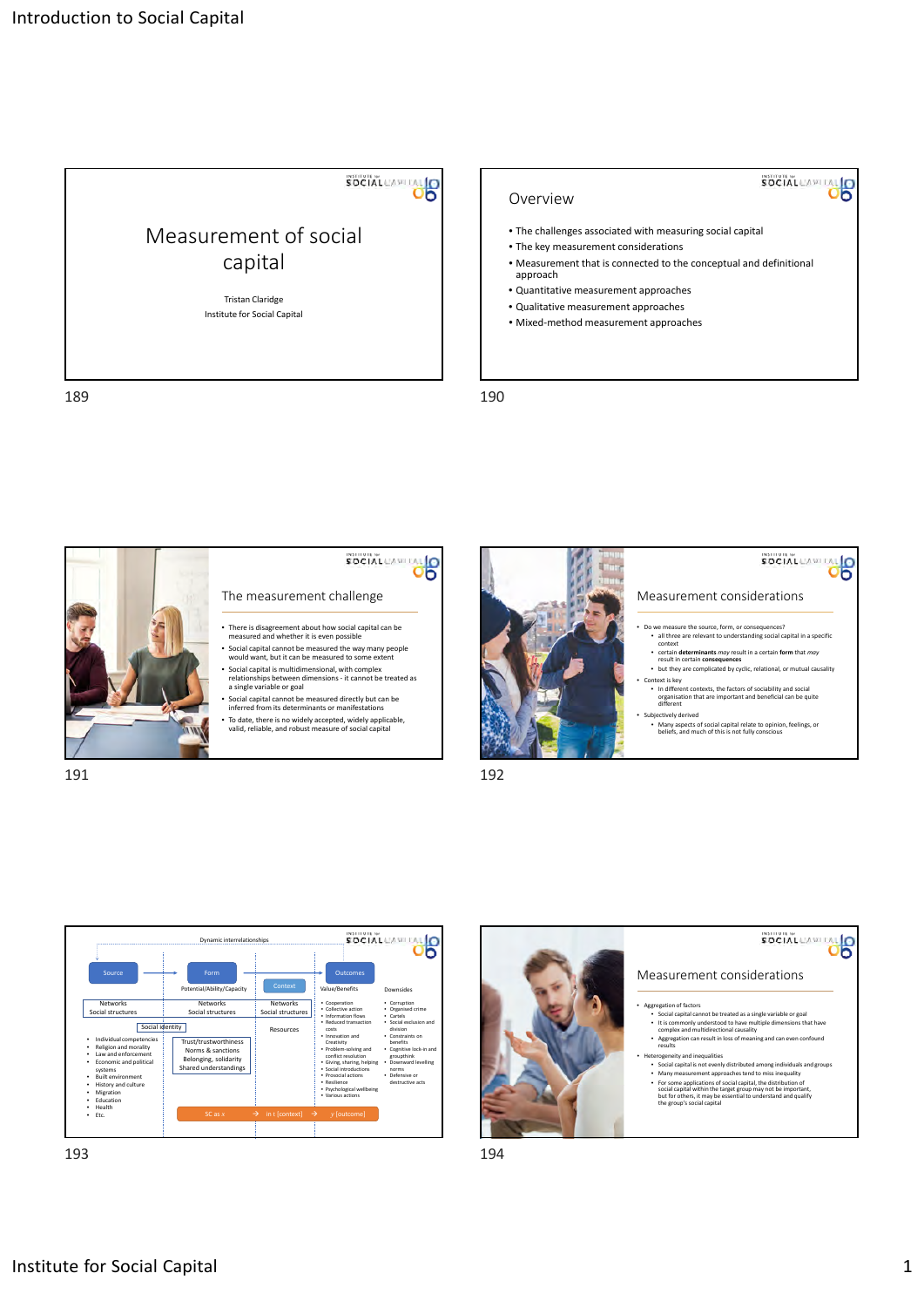

189 **190** 

### Overview

- The challenges associated with measuring social capital
- The key measurement considerations
- Measurement that is connected to the conceptual and definitional approach

SOCIAL CAPITAL

- Quantitative measurement approaches
- Qualitative measurement approaches
- Mixed‐method measurement approaches







193 194



## SOCIAL CAPITAL Measurement considerations

- 
- Aggregation of factors<br>• Social capital cannot be treated as a single variable or goal<br>• It is commonly understood to have multiple dimensions that have<br>• Complex and multidirectional causality<br>• Aggregation can result i
	- erogeneity and inequalities
- Social capital is not evenly distributed among individuals and groups • Many measurement approaches tend to miss inequality<br>
• For some applications of social capital, the distribution of<br>
social capital within the target group may not be important,<br>
but for others, it may be essential to un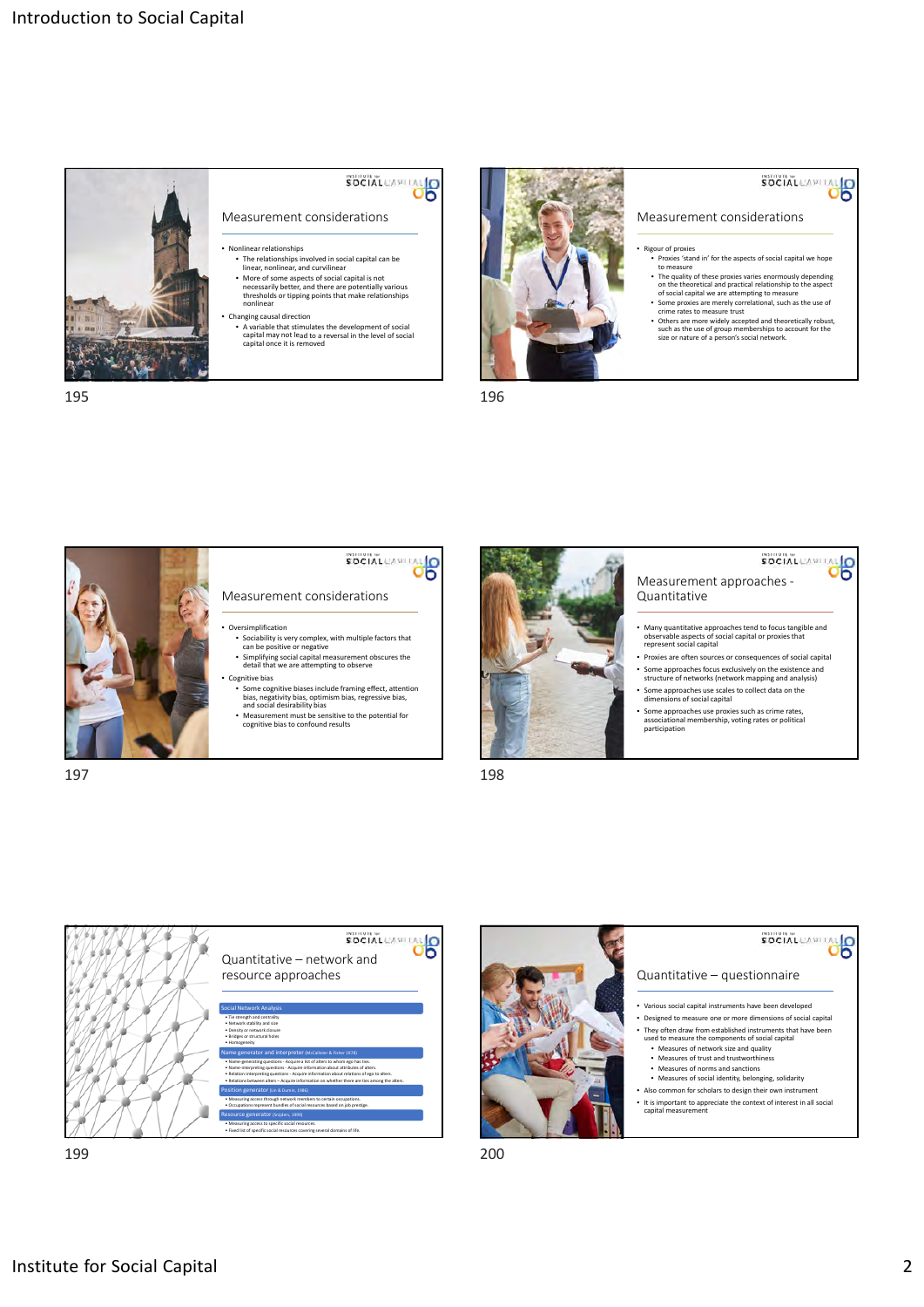

195 196

# SOCIAL CAPITAL

- 
- The relationships involved in social capital can be linear, nonlinear, and curvilinear
- More of some aspects of social capital is not necessarily better, and there are potentially various thresholds or tipping points that make relationships nonlinear
- 



# SOCIAL CAPITAL

#### Measurement considerations

- Rigour of proxies Proxies 'stand in' for the aspects of social capital we hope to measure
	- The quality of these proxies varies enormously depending on the theoretical and practical relationship to the aspect of social capital we are attempting to measure
	- Some proxies are merely correlational, such as the use of crime rates to measure trust
	- Others are more widely accepted and theoretically robust, such as the use of group memberships to account for the size or nature of a person's social network.



- SOCIAL CAPITAL O Measurement considerations
- Oversimplification
- Sociability is very complex, with multiple factors that can be positive or negative • Simplifying social capital measurement obscures the detail that we are attempting to observe
- Cognitive bias
- Some cognitive biases include framing effect, attention bias, negativity bias, optimism bias, regressive bias, and social desirability bias
- Measurement must be sensitive to the potential for cognitive bias to confound results



197 198

## Measurement approaches -Quantitative

- Many quantitative approaches tend to focus tangible and observable aspects of social capital or proxies that represent social capital
- Proxies are often sources or consequences of social capital
- Some approachesfocus exclusively on the existence and structure of networks (network mapping and analysis)
- Some approaches use scales to collect data on the dimensions of social capital
- Some approaches use proxies such as crime rates, associational membership, voting rates or political participation



199 200